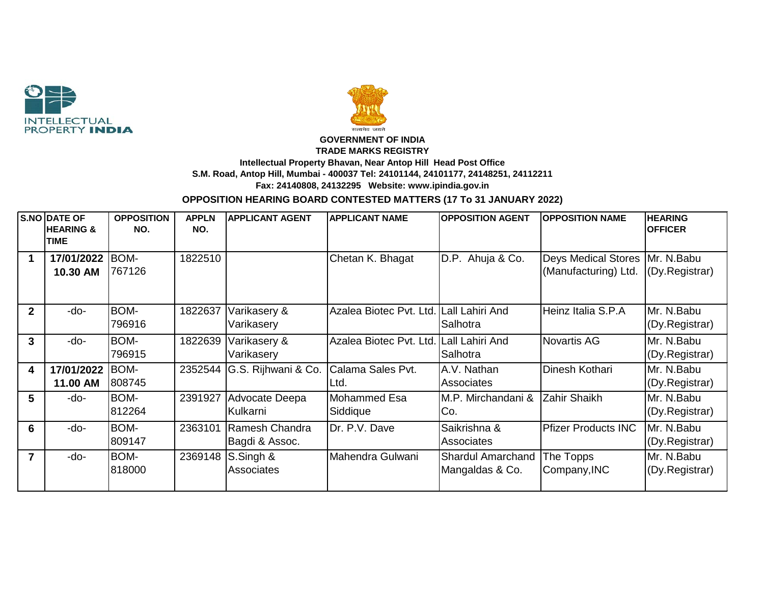



## **GOVERNMENT OF INDIA TRADE MARKS REGISTRY Intellectual Property Bhavan, Near Antop Hill Head Post Office S.M. Road, Antop Hill, Mumbai - 400037 Tel: 24101144, 24101177, 24148251, 24112211 Fax: 24140808, 24132295 Website: www.ipindia.gov.in**

**OPPOSITION HEARING BOARD CONTESTED MATTERS (17 To 31 JANUARY 2022)**

|                         | <b>S.NO DATE OF</b><br><b>HEARING &amp;</b><br><b>TIME</b> | <b>OPPOSITION</b><br>NO. | <b>APPLN</b><br>NO. | <b>APPLICANT AGENT</b>            | <b>APPLICANT NAME</b>                   | <b>OPPOSITION AGENT</b>                     | <b>OPPOSITION NAME</b>                                    | <b>HEARING</b><br><b>OFFICER</b> |
|-------------------------|------------------------------------------------------------|--------------------------|---------------------|-----------------------------------|-----------------------------------------|---------------------------------------------|-----------------------------------------------------------|----------------------------------|
| 1                       | 17/01/2022<br>10.30 AM                                     | BOM-<br>767126           | 1822510             |                                   | Chetan K. Bhagat                        | Ahuja & Co.<br>D.P.                         | Deys Medical Stores   Mr. N. Babu<br>(Manufacturing) Ltd. | (Dy.Registrar)                   |
| $\mathbf{2}$            | -do-                                                       | BOM-<br>796916           | 1822637             | Varikasery &<br>Varikasery        | Azalea Biotec Pvt. Ltd. Lall Lahiri And | Salhotra                                    | Heinz Italia S.P.A                                        | Mr. N.Babu<br>(Dy.Registrar)     |
| $\mathbf{3}$            | -do-                                                       | BOM-<br>796915           | 1822639             | Varikasery &<br>Varikasery        | Azalea Biotec Pvt. Ltd.                 | Lall Lahiri And<br>Salhotra                 | <b>Novartis AG</b>                                        | Mr. N.Babu<br>(Dy.Registrar)     |
| $\overline{\mathbf{4}}$ | 17/01/2022<br>11.00 AM                                     | BOM-<br>808745           | 2352544             | G.S. Rijhwani & Co.               | Calama Sales Pvt.<br>Ltd.               | A.V. Nathan<br><b>Associates</b>            | Dinesh Kothari                                            | Mr. N.Babu<br>(Dy.Registrar)     |
| 5                       | -do-                                                       | BOM-<br>812264           | 2391927             | Advocate Deepa<br>Kulkarni        | Mohammed Esa<br>Siddique                | M.P. Mirchandani &<br>Co.                   | Zahir Shaikh                                              | Mr. N.Babu<br>(Dy.Registrar)     |
| 6                       | -do-                                                       | BOM-<br>809147           | 2363101             | IRamesh Chandra<br>Bagdi & Assoc. | Dr. P.V. Dave                           | Saikrishna &<br><b>Associates</b>           | <b>Pfizer Products INC</b>                                | Mr. N.Babu<br>(Dy.Registrar)     |
| $\overline{7}$          | -do-                                                       | BOM-<br>818000           | 2369148             | S.Singh &<br>Associates           | Mahendra Gulwani                        | <b>Shardul Amarchand</b><br>Mangaldas & Co. | The Topps<br>Company, INC                                 | Mr. N.Babu<br>(Dy.Registrar)     |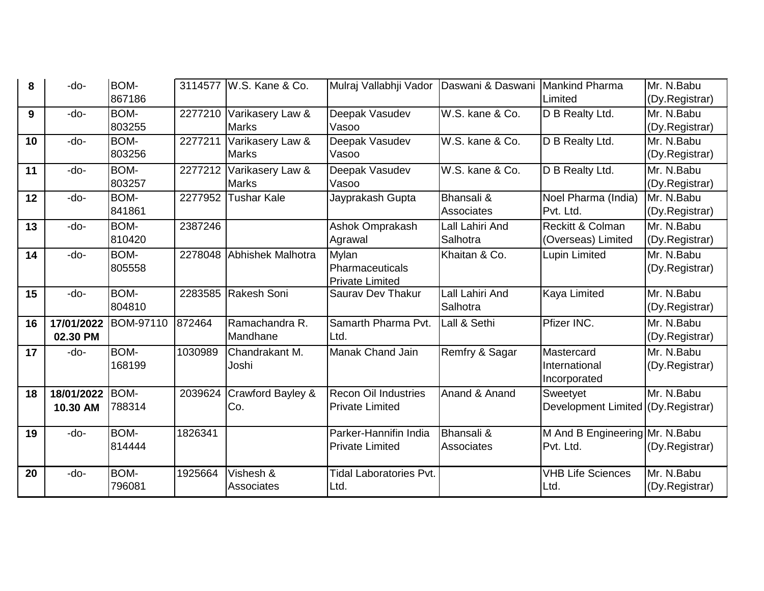| 8  | -do-       | BOM-      |         | 3114577 W.S. Kane & Co.  | Mulraj Vallabhji Vador         | Daswani & Daswani     | <b>Mankind Pharma</b>                        | Mr. N.Babu     |
|----|------------|-----------|---------|--------------------------|--------------------------------|-----------------------|----------------------------------------------|----------------|
|    |            | 867186    |         |                          |                                |                       | Limited                                      | (Dy.Registrar) |
| 9  | -do-       | BOM-      | 2277210 | Varikasery Law &         | Deepak Vasudev                 | W.S. kane & Co.       | D B Realty Ltd.                              | Mr. N.Babu     |
|    |            | 803255    |         | <b>Marks</b>             | Vasoo                          |                       |                                              | (Dy.Registrar) |
| 10 | -do-       | BOM-      | 2277211 | Varikasery Law &         | Deepak Vasudev                 | W.S. kane & Co.       | D B Realty Ltd.                              | Mr. N.Babu     |
|    |            | 803256    |         | <b>Marks</b>             | Vasoo                          |                       |                                              | (Dy.Registrar) |
| 11 | -do-       | BOM-      | 2277212 | Varikasery Law &         | Deepak Vasudev                 | W.S. kane & Co.       | D B Realty Ltd.                              | Mr. N.Babu     |
|    |            | 803257    |         | <b>Marks</b>             | Vasoo                          |                       |                                              | (Dy.Registrar) |
| 12 | -do-       | BOM-      | 2277952 | Tushar Kale              | Jayprakash Gupta               | <b>Bhansali &amp;</b> | Noel Pharma (India)                          | Mr. N.Babu     |
|    |            | 841861    |         |                          |                                | Associates            | Pvt. Ltd.                                    | (Dy.Registrar) |
| 13 | -do-       | BOM-      | 2387246 |                          | Ashok Omprakash                | Lall Lahiri And       | Reckitt & Colman                             | Mr. N.Babu     |
|    |            | 810420    |         |                          | Agrawal                        | Salhotra              | (Overseas) Limited                           | (Dy.Registrar) |
| 14 | -do-       | BOM-      | 2278048 | <b>Abhishek Malhotra</b> | <b>Mylan</b>                   | Khaitan & Co.         | <b>Lupin Limited</b>                         | Mr. N.Babu     |
|    |            | 805558    |         |                          | Pharmaceuticals                |                       |                                              | (Dy.Registrar) |
|    |            |           |         |                          | <b>Private Limited</b>         |                       |                                              |                |
| 15 | -do-       | BOM-      | 2283585 | Rakesh Soni              | <b>Saurav Dev Thakur</b>       | Lall Lahiri And       | <b>Kaya Limited</b>                          | Mr. N.Babu     |
|    |            | 804810    |         |                          |                                | Salhotra              |                                              | (Dy.Registrar) |
| 16 | 17/01/2022 | BOM-97110 | 872464  | Ramachandra R.           | Samarth Pharma Pvt.            | Lall & Sethi          | Pfizer INC.                                  | Mr. N.Babu     |
|    | 02.30 PM   |           |         | Mandhane                 | Ltd.                           |                       |                                              | (Dy.Registrar) |
| 17 | -do-       | BOM-      | 1030989 | Chandrakant M.           | Manak Chand Jain               | Remfry & Sagar        | Mastercard                                   | Mr. N.Babu     |
|    |            | 168199    |         | Joshi                    |                                |                       | International                                | (Dy.Registrar) |
|    |            |           |         |                          |                                |                       | Incorporated                                 |                |
| 18 | 18/01/2022 | BOM-      | 2039624 | Crawford Bayley &        | <b>Recon Oil Industries</b>    | Anand & Anand         | Sweetyet                                     | Mr. N.Babu     |
|    | 10.30 AM   | 788314    |         | Co.                      | <b>Private Limited</b>         |                       | Development Limited (Dy.Registrar)           |                |
| 19 | -do-       | BOM-      | 1826341 |                          | Parker-Hannifin India          | Bhansali &            |                                              |                |
|    |            | 814444    |         |                          | <b>Private Limited</b>         | Associates            | M And B Engineering Mr. N. Babu<br>Pvt. Ltd. | (Dy.Registrar) |
|    |            |           |         |                          |                                |                       |                                              |                |
| 20 | -do-       | BOM-      | 1925664 | Vishesh &                | <b>Tidal Laboratories Pvt.</b> |                       | <b>VHB Life Sciences</b>                     | Mr. N.Babu     |
|    |            | 796081    |         | Associates               | Ltd.                           |                       | Ltd.                                         | (Dy.Registrar) |
|    |            |           |         |                          |                                |                       |                                              |                |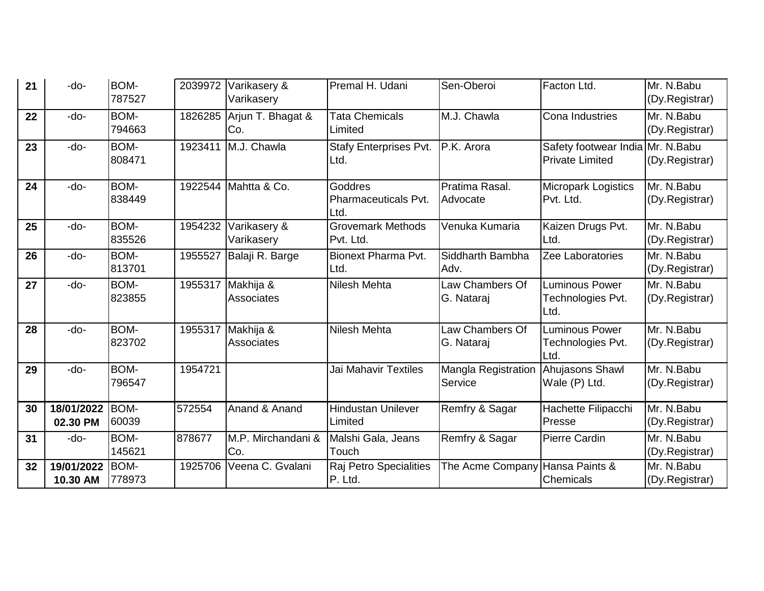| 21 | -do-                   | <b>BOM-</b><br>787527 | 2039972 | Varikasery &<br>Varikasery     | Premal H. Udani                         | Sen-Oberoi                            | Facton Ltd.                                                | Mr. N.Babu<br>(Dy.Registrar) |
|----|------------------------|-----------------------|---------|--------------------------------|-----------------------------------------|---------------------------------------|------------------------------------------------------------|------------------------------|
| 22 | -do-                   | <b>BOM-</b><br>794663 | 1826285 | Arjun T. Bhagat &<br>Co.       | <b>Tata Chemicals</b><br>Limited        | M.J. Chawla                           | Cona Industries                                            | Mr. N.Babu<br>(Dy.Registrar) |
| 23 | -do-                   | <b>BOM-</b><br>808471 | 1923411 | M.J. Chawla                    | <b>Stafy Enterprises Pvt.</b><br>Ltd.   | P.K. Arora                            | Safety footwear India Mr. N.Babu<br><b>Private Limited</b> | (Dy.Registrar)               |
| 24 | -do-                   | BOM-<br>838449        | 1922544 | Mahtta & Co.                   | Goddres<br>Pharmaceuticals Pvt.<br>Ltd. | Pratima Rasal.<br>Advocate            | <b>Micropark Logistics</b><br>Pvt. Ltd.                    | Mr. N.Babu<br>(Dy.Registrar) |
| 25 | -do-                   | <b>BOM-</b><br>835526 | 1954232 | Varikasery &<br>Varikasery     | <b>Grovemark Methods</b><br>Pvt. Ltd.   | Venuka Kumaria                        | Kaizen Drugs Pvt.<br>Ltd.                                  | Mr. N.Babu<br>(Dy.Registrar) |
| 26 | -do-                   | BOM-<br>813701        | 1955527 | Balaji R. Barge                | <b>Bionext Pharma Pvt.</b><br>Ltd.      | Siddharth Bambha<br>Adv.              | Zee Laboratories                                           | Mr. N.Babu<br>(Dy.Registrar) |
| 27 | -do-                   | BOM-<br>823855        | 1955317 | Makhija &<br>Associates        | Nilesh Mehta                            | Law Chambers Of<br>G. Nataraj         | <b>Luminous Power</b><br>Technologies Pvt.<br>Ltd.         | Mr. N.Babu<br>(Dy.Registrar) |
| 28 | -do-                   | BOM-<br>823702        | 1955317 | Makhija &<br><b>Associates</b> | <b>Nilesh Mehta</b>                     | Law Chambers Of<br>G. Nataraj         | <b>Luminous Power</b><br>Technologies Pvt.<br>Ltd.         | Mr. N.Babu<br>(Dy.Registrar) |
| 29 | -do-                   | <b>BOM-</b><br>796547 | 1954721 |                                | Jai Mahavir Textiles                    | <b>Mangla Registration</b><br>Service | Ahujasons Shawl<br>Wale (P) Ltd.                           | Mr. N.Babu<br>(Dy.Registrar) |
| 30 | 18/01/2022<br>02.30 PM | <b>BOM-</b><br>60039  | 572554  | Anand & Anand                  | <b>Hindustan Unilever</b><br>Limited    | Remfry & Sagar                        | Hachette Filipacchi<br>Presse                              | Mr. N.Babu<br>(Dy.Registrar) |
| 31 | -do-                   | <b>BOM-</b><br>145621 | 878677  | M.P. Mirchandani &<br>Co.      | Malshi Gala, Jeans<br>Touch             | Remfry & Sagar                        | Pierre Cardin                                              | Mr. N.Babu<br>(Dy.Registrar) |
| 32 | 19/01/2022<br>10.30 AM | BOM-<br>778973        | 1925706 | Veena C. Gvalani               | Raj Petro Specialities<br>P. Ltd.       | The Acme Company Hansa Paints &       | <b>Chemicals</b>                                           | Mr. N.Babu<br>(Dy.Registrar) |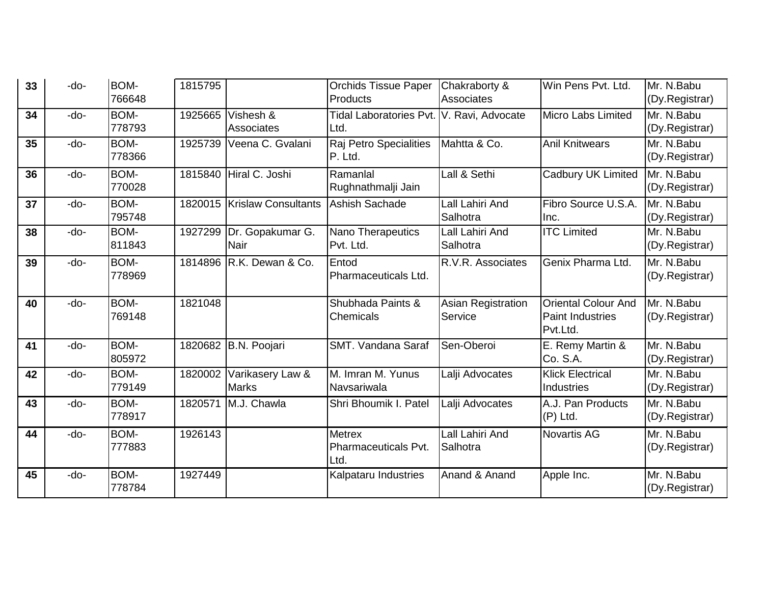| 33 | -do- | BOM-   | 1815795 |                             | <b>Orchids Tissue Paper</b>               | Chakraborty &             | Win Pens Pvt. Ltd.         | Mr. N.Babu     |
|----|------|--------|---------|-----------------------------|-------------------------------------------|---------------------------|----------------------------|----------------|
|    |      | 766648 |         |                             | <b>Products</b>                           | Associates                |                            | (Dy.Registrar) |
| 34 | -do- | BOM-   | 1925665 | Vishesh &                   | Tidal Laboratories Pvt. V. Ravi, Advocate |                           | Micro Labs Limited         | Mr. N.Babu     |
|    |      | 778793 |         | Associates                  | Ltd.                                      |                           |                            | (Dy.Registrar) |
| 35 | -do- | BOM-   | 1925739 | Veena C. Gvalani            | Raj Petro Specialities                    | Mahtta & Co.              | <b>Anil Knitwears</b>      | Mr. N.Babu     |
|    |      | 778366 |         |                             | P. Ltd.                                   |                           |                            | (Dy.Registrar) |
| 36 | -do- | BOM-   | 1815840 | Hiral C. Joshi              | Ramanlal                                  | Lall & Sethi              | Cadbury UK Limited         | Mr. N.Babu     |
|    |      | 770028 |         |                             | Rughnathmalji Jain                        |                           |                            | (Dy.Registrar) |
| 37 | -do- | BOM-   |         | 1820015 Krislaw Consultants | <b>Ashish Sachade</b>                     | Lall Lahiri And           | Fibro Source U.S.A.        | Mr. N.Babu     |
|    |      | 795748 |         |                             |                                           | Salhotra                  | Inc.                       | (Dy.Registrar) |
| 38 | -do- | BOM-   | 1927299 | Dr. Gopakumar G.            | Nano Therapeutics                         | Lall Lahiri And           | <b>ITC Limited</b>         | Mr. N.Babu     |
|    |      | 811843 |         | <b>Nair</b>                 | Pvt. Ltd.                                 | Salhotra                  |                            | (Dy.Registrar) |
| 39 | -do- | BOM-   | 1814896 | R.K. Dewan & Co.            | Entod                                     | R.V.R. Associates         | Genix Pharma Ltd.          | Mr. N.Babu     |
|    |      | 778969 |         |                             | Pharmaceuticals Ltd.                      |                           |                            | (Dy.Registrar) |
|    |      |        |         |                             |                                           |                           |                            |                |
| 40 | -do- | BOM-   | 1821048 |                             | Shubhada Paints &                         | <b>Asian Registration</b> | <b>Oriental Colour And</b> | Mr. N.Babu     |
|    |      | 769148 |         |                             | Chemicals                                 | Service                   | <b>Paint Industries</b>    | (Dy.Registrar) |
|    |      |        |         |                             |                                           |                           | Pvt.Ltd.                   |                |
| 41 | -do- | BOM-   | 1820682 | B.N. Poojari                | <b>SMT. Vandana Saraf</b>                 | Sen-Oberoi                | E. Remy Martin &           | Mr. N.Babu     |
|    |      | 805972 |         |                             |                                           |                           | Co. S.A.                   | (Dy.Registrar) |
| 42 | -do- | BOM-   | 1820002 | Varikasery Law &            | M. Imran M. Yunus                         | Lalji Advocates           | <b>Klick Electrical</b>    | Mr. N.Babu     |
|    |      | 779149 |         | <b>Marks</b>                | Navsariwala                               |                           | Industries                 | (Dy.Registrar) |
| 43 | -do- | BOM-   | 1820571 | M.J. Chawla                 | Shri Bhoumik I. Patel                     | Lalji Advocates           | A.J. Pan Products          | Mr. N.Babu     |
|    |      | 778917 |         |                             |                                           |                           | $(P)$ Ltd.                 | (Dy.Registrar) |
| 44 | -do- | BOM-   | 1926143 |                             | <b>Metrex</b>                             | Lall Lahiri And           | <b>Novartis AG</b>         | Mr. N.Babu     |
|    |      | 777883 |         |                             | Pharmaceuticals Pvt.                      | Salhotra                  |                            | (Dy.Registrar) |
|    |      |        |         |                             | Ltd.                                      |                           |                            |                |
| 45 | -do- | BOM-   | 1927449 |                             | Kalpataru Industries                      | Anand & Anand             | Apple Inc.                 | Mr. N.Babu     |
|    |      | 778784 |         |                             |                                           |                           |                            | (Dy.Registrar) |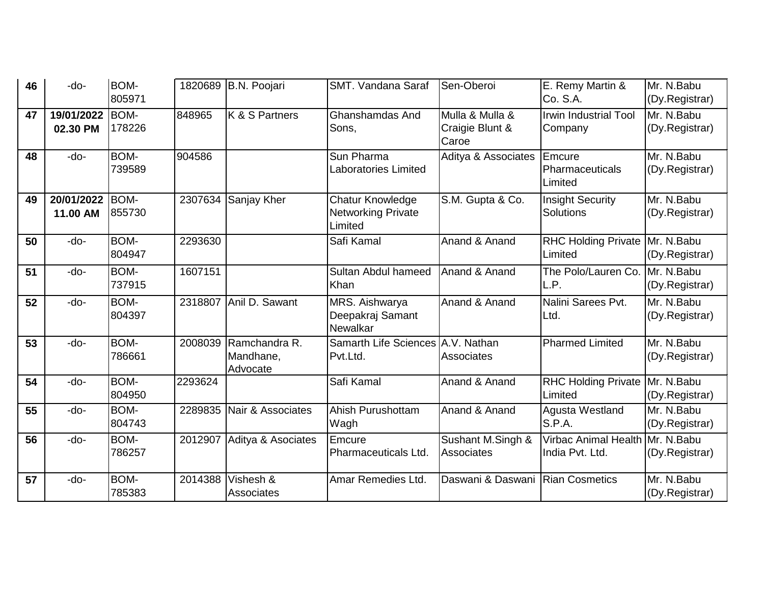| 46 | -do-       | BOM-           |         | 1820689 B.N. Poojari  | SMT. Vandana Saraf                   | Sen-Oberoi               | E. Remy Martin &                             | Mr. N.Babu                   |
|----|------------|----------------|---------|-----------------------|--------------------------------------|--------------------------|----------------------------------------------|------------------------------|
|    |            | 805971         |         |                       |                                      |                          | Co. S.A.                                     | (Dy.Registrar)               |
| 47 | 19/01/2022 | BOM-           | 848965  | K & S Partners        | Ghanshamdas And                      | Mulla & Mulla &          | <b>Irwin Industrial Tool</b>                 | Mr. N.Babu                   |
|    | 02.30 PM   | 178226         |         |                       | Sons.                                | Craigie Blunt &<br>Caroe | Company                                      | (Dy.Registrar)               |
| 48 | -do-       | BOM-           | 904586  |                       | Sun Pharma                           | Aditya & Associates      | Emcure                                       | Mr. N.Babu                   |
|    |            | 739589         |         |                       | Laboratories Limited                 |                          | Pharmaceuticals<br>Limited                   | (Dy.Registrar)               |
| 49 | 20/01/2022 | BOM-           | 2307634 | Sanjay Kher           | Chatur Knowledge                     | S.M. Gupta & Co.         | <b>Insight Security</b>                      | Mr. N.Babu                   |
|    | 11.00 AM   | 855730         |         |                       | <b>Networking Private</b><br>Limited |                          | <b>Solutions</b>                             | (Dy.Registrar)               |
| 50 | -do-       | BOM-<br>804947 | 2293630 |                       | Safi Kamal                           | Anand & Anand            | RHC Holding Private   Mr. N. Babu<br>Limited | (Dy.Registrar)               |
|    |            |                |         |                       |                                      |                          |                                              |                              |
| 51 | -do-       | BOM-<br>737915 | 1607151 |                       | Sultan Abdul hameed<br>Khan          | Anand & Anand            | The Polo/Lauren Co.<br>L.P.                  | Mr. N.Babu<br>(Dy.Registrar) |
| 52 | -do-       | BOM-           | 2318807 | Anil D. Sawant        | MRS. Aishwarya                       | Anand & Anand            | Nalini Sarees Pvt.                           | Mr. N.Babu                   |
|    |            | 804397         |         |                       | Deepakraj Samant<br>Newalkar         |                          | Ltd.                                         | (Dy.Registrar)               |
| 53 | -do-       | BOM-           | 2008039 | <b>IRamchandra R.</b> | Samarth Life Sciences A.V. Nathan    |                          | <b>Pharmed Limited</b>                       | $Mr. N.$ Babu                |
|    |            | 786661         |         | Mandhane,<br>Advocate | Pvt.Ltd.                             | Associates               |                                              | (Dy.Registrar)               |
| 54 | -do-       | BOM-<br>804950 | 2293624 |                       | Safi Kamal                           | Anand & Anand            | RHC Holding Private   Mr. N. Babu<br>Limited | (Dy.Registrar)               |
| 55 | -do-       | BOM-           | 2289835 | Nair & Associates     | Ahish Purushottam                    | Anand & Anand            | Agusta Westland                              | Mr. N.Babu                   |
|    |            | 804743         |         |                       | Wagh                                 |                          | S.P.A.                                       | (Dy.Registrar)               |
| 56 | -do-       | BOM-           | 2012907 | Aditya & Asociates    | Emcure                               | Sushant M.Singh &        | Virbac Animal Health Mr. N. Babu             |                              |
|    |            | 786257         |         |                       | <b>Pharmaceuticals Ltd.</b>          | <b>Associates</b>        | India Pvt. Ltd.                              | (Dy.Registrar)               |
| 57 | -do-       | BOM-           | 2014388 | Vishesh &             | Amar Remedies Ltd.                   | Daswani & Daswani        | <b>Rian Cosmetics</b>                        | Mr. N.Babu                   |
|    |            | 785383         |         | <b>Associates</b>     |                                      |                          |                                              | (Dy.Registrar)               |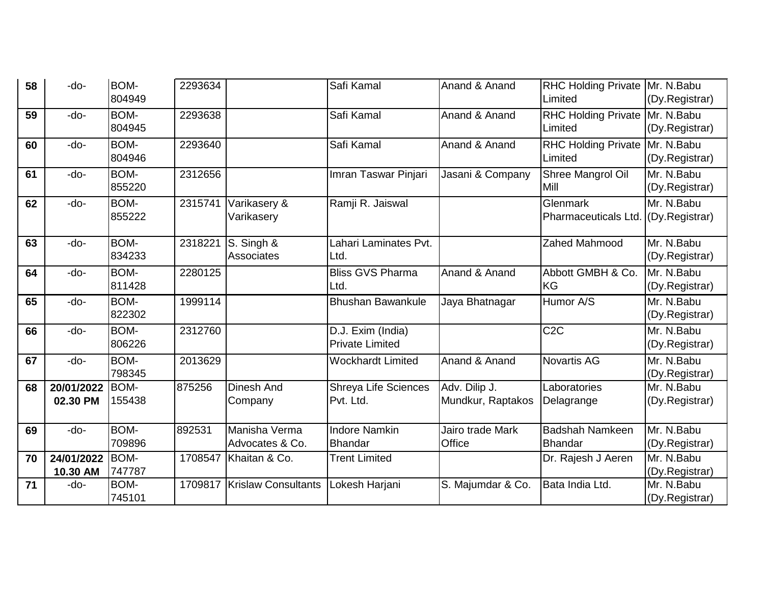| 58   | -do-       | BOM-           | 2293634 |                                  | Safi Kamal                             | Anand & Anand                     | RHC Holding Private   Mr. N. Babu        |                              |
|------|------------|----------------|---------|----------------------------------|----------------------------------------|-----------------------------------|------------------------------------------|------------------------------|
|      |            | 804949         |         |                                  |                                        |                                   | Limited                                  | (Dy.Registrar)               |
| 59   | -do-       | BOM-           | 2293638 |                                  | Safi Kamal                             | Anand & Anand                     | <b>RHC Holding Private</b>               | Mr. N.Babu                   |
|      |            | 804945         |         |                                  |                                        |                                   | Limited                                  | (Dy.Registrar)               |
| 60   | -do-       | BOM-           | 2293640 |                                  | Safi Kamal                             | Anand & Anand                     | RHC Holding Private Mr. N.Babu           |                              |
|      |            | 804946         |         |                                  |                                        |                                   | Limited                                  | (Dy.Registrar)               |
| 61   | -do-       | BOM-           | 2312656 |                                  | Imran Taswar Pinjari                   | Jasani & Company                  | Shree Mangrol Oil                        | Mr. N.Babu                   |
|      |            | 855220         |         |                                  |                                        |                                   | Mill                                     | (Dy.Registrar)               |
| 62   | -do-       | BOM-           | 2315741 | Varikasery &                     | Ramji R. Jaiswal                       |                                   | Glenmark                                 | Mr. N.Babu                   |
|      |            | 855222         |         | Varikasery                       |                                        |                                   | Pharmaceuticals Ltd.                     | (Dy.Registrar)               |
| 63   | -do-       | BOM-           | 2318221 | S. Singh &                       | Lahari Laminates Pvt.                  |                                   | Zahed Mahmood                            | Mr. N.Babu                   |
|      |            | 834233         |         | Associates                       | Ltd.                                   |                                   |                                          | (Dy.Registrar)               |
| 64   | -do-       | BOM-           | 2280125 |                                  | <b>Bliss GVS Pharma</b>                | Anand & Anand                     | Abbott GMBH & Co.                        | Mr. N.Babu                   |
|      |            | 811428         |         |                                  | Ltd.                                   |                                   | <b>KG</b>                                | (Dy.Registrar)               |
| 65   | -do-       | BOM-           | 1999114 |                                  | <b>Bhushan Bawankule</b>               | Jaya Bhatnagar                    | Humor A/S                                | Mr. N.Babu                   |
|      |            | 822302         |         |                                  |                                        |                                   |                                          | (Dy.Registrar)               |
| 66   | -do-       | BOM-           | 2312760 |                                  | D.J. Exim (India)                      |                                   | C <sub>2</sub> C                         | Mr. N.Babu                   |
|      |            | 806226         |         |                                  | <b>Private Limited</b>                 |                                   |                                          | (Dy.Registrar)               |
| 67   | -do-       | BOM-           | 2013629 |                                  | <b>Wockhardt Limited</b>               | Anand & Anand                     | <b>Novartis AG</b>                       | Mr. N.Babu                   |
|      |            | 798345         |         |                                  |                                        |                                   |                                          | (Dy.Registrar)               |
| 68   | 20/01/2022 | BOM-           | 875256  | <b>Dinesh And</b>                | <b>Shreya Life Sciences</b>            | Adv. Dilip J.                     | Laboratories                             | Mr. N.Babu                   |
|      | 02.30 PM   | 155438         |         | Company                          | Pvt. Ltd.                              | Mundkur, Raptakos                 | Delagrange                               | (Dy.Registrar)               |
|      |            |                |         |                                  |                                        |                                   |                                          |                              |
| 69   | -do-       | BOM-<br>709896 | 892531  | Manisha Verma<br>Advocates & Co. | <b>Indore Namkin</b><br><b>Bhandar</b> | Jairo trade Mark<br><b>Office</b> | <b>Badshah Namkeen</b><br><b>Bhandar</b> | Mr. N.Babu                   |
| 70   | 24/01/2022 | BOM-           | 1708547 | Khaitan & Co.                    | <b>Trent Limited</b>                   |                                   |                                          | (Dy.Registrar)<br>Mr. N.Babu |
|      | 10.30 AM   | 747787         |         |                                  |                                        |                                   | Dr. Rajesh J Aeren                       | (Dy.Registrar)               |
| $71$ | -do-       | BOM-           | 1709817 | <b>Krislaw Consultants</b>       | Lokesh Harjani                         | S. Majumdar & Co.                 | Bata India Ltd.                          | Mr. N.Babu                   |
|      |            | 745101         |         |                                  |                                        |                                   |                                          | (Dy.Registrar)               |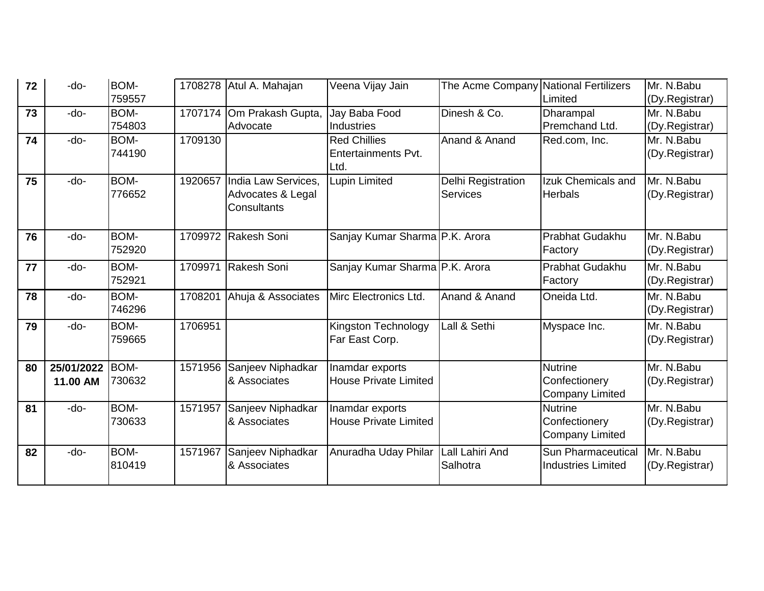| 72 | -do-                   | BOM-<br>759557        |         | 1708278 Atul A. Mahajan                                 | Veena Vijay Jain                                   | The Acme Company National Fertilizers        | Limited                                                   | Mr. N.Babu<br>(Dy.Registrar) |
|----|------------------------|-----------------------|---------|---------------------------------------------------------|----------------------------------------------------|----------------------------------------------|-----------------------------------------------------------|------------------------------|
| 73 | $-do-$                 | <b>BOM-</b><br>754803 | 1707174 | Om Prakash Gupta,<br>Advocate                           | Jay Baba Food<br>Industries                        | Dinesh & Co.                                 | Dharampal<br>Premchand Ltd.                               | Mr. N.Babu<br>(Dy.Registrar) |
| 74 | -do-                   | BOM-<br>744190        | 1709130 |                                                         | <b>Red Chillies</b><br>Entertainments Pvt.<br>Ltd. | Anand & Anand                                | Red.com, Inc.                                             | Mr. N.Babu<br>(Dy.Registrar) |
| 75 | -do-                   | BOM-<br>776652        | 1920657 | India Law Services,<br>Advocates & Legal<br>Consultants | Lupin Limited                                      | <b>Delhi Registration</b><br><b>Services</b> | Izuk Chemicals and<br><b>Herbals</b>                      | Mr. N.Babu<br>(Dy.Registrar) |
| 76 | -do-                   | <b>BOM-</b><br>752920 |         | 1709972 Rakesh Soni                                     | Sanjay Kumar Sharma P.K. Arora                     |                                              | Prabhat Gudakhu<br>Factory                                | Mr. N.Babu<br>(Dy.Registrar) |
| 77 | $-do-$                 | <b>BOM-</b><br>752921 | 1709971 | Rakesh Soni                                             | Sanjay Kumar Sharma P.K. Arora                     |                                              | Prabhat Gudakhu<br>Factory                                | Mr. N.Babu<br>(Dy.Registrar) |
| 78 | -do-                   | BOM-<br>746296        | 1708201 | Ahuja & Associates                                      | Mirc Electronics Ltd.                              | Anand & Anand                                | Oneida Ltd.                                               | Mr. N.Babu<br>(Dy.Registrar) |
| 79 | $-do-$                 | <b>BOM-</b><br>759665 | 1706951 |                                                         | Kingston Technology<br>Far East Corp.              | Lall & Sethi                                 | Myspace Inc.                                              | Mr. N.Babu<br>(Dy.Registrar) |
| 80 | 25/01/2022<br>11.00 AM | BOM-<br>730632        | 1571956 | Sanjeev Niphadkar<br>& Associates                       | Inamdar exports<br><b>House Private Limited</b>    |                                              | <b>Nutrine</b><br>Confectionery<br><b>Company Limited</b> | Mr. N.Babu<br>(Dy.Registrar) |
| 81 | -do-                   | <b>BOM-</b><br>730633 | 1571957 | Sanjeev Niphadkar<br>& Associates                       | Inamdar exports<br><b>House Private Limited</b>    |                                              | <b>Nutrine</b><br>Confectionery<br><b>Company Limited</b> | Mr. N.Babu<br>(Dy.Registrar) |
| 82 | -do-                   | BOM-<br>810419        | 1571967 | Sanjeev Niphadkar<br>& Associates                       | Anuradha Uday Philar                               | Lall Lahiri And<br>Salhotra                  | Sun Pharmaceutical<br><b>Industries Limited</b>           | Mr. N.Babu<br>(Dy.Registrar) |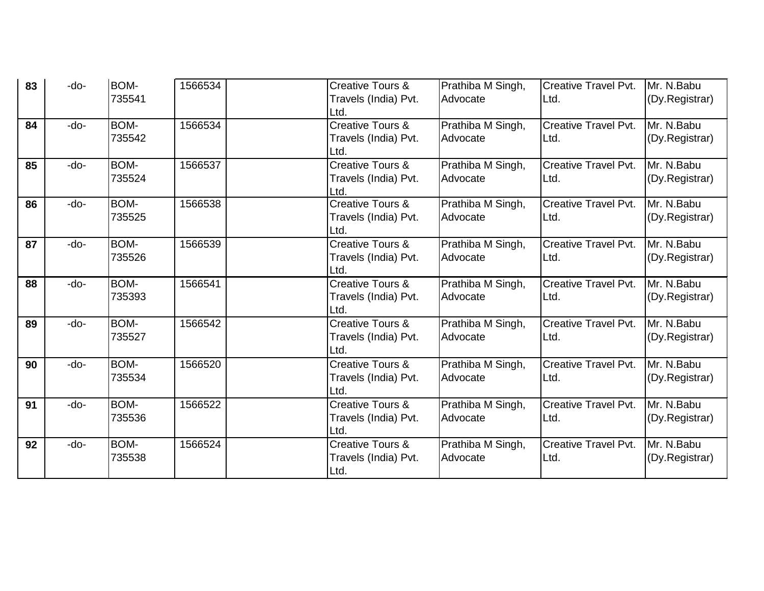| 83 | -do- | BOM-<br>735541 | 1566534 | <b>Creative Tours &amp;</b><br>Travels (India) Pvt. | Prathiba M Singh,<br>Advocate | <b>Creative Travel Pvt.</b><br>Ltd. | Mr. N.Babu<br>(Dy.Registrar) |
|----|------|----------------|---------|-----------------------------------------------------|-------------------------------|-------------------------------------|------------------------------|
|    |      |                |         | Ltd.                                                |                               |                                     |                              |
| 84 | -do- | BOM-           | 1566534 | Creative Tours &                                    | Prathiba M Singh,             | <b>Creative Travel Pvt.</b>         | Mr. N.Babu                   |
|    |      | 735542         |         | Travels (India) Pvt.                                | Advocate                      | Ltd.                                | (Dy.Registrar)               |
|    |      |                |         | Ltd.                                                |                               |                                     |                              |
| 85 | -do- | BOM-           | 1566537 | Creative Tours &                                    | Prathiba M Singh,             | <b>Creative Travel Pvt.</b>         | Mr. N.Babu                   |
|    |      | 735524         |         | Travels (India) Pvt.                                | Advocate                      | Ltd.                                | (Dy.Registrar)               |
|    |      |                |         | Ltd.                                                |                               |                                     |                              |
| 86 | -do- | BOM-           | 1566538 | Creative Tours &                                    | Prathiba M Singh,             | <b>Creative Travel Pvt.</b>         | Mr. N.Babu                   |
|    |      | 735525         |         | Travels (India) Pvt.                                | Advocate                      | Ltd.                                | (Dy.Registrar)               |
|    |      |                |         | Ltd.                                                |                               |                                     |                              |
| 87 | -do- | BOM-           | 1566539 | <b>Creative Tours &amp;</b>                         | Prathiba M Singh,             | <b>Creative Travel Pvt.</b>         | Mr. N.Babu                   |
|    |      | 735526         |         | Travels (India) Pvt.                                | Advocate                      | Ltd.                                | (Dy.Registrar)               |
|    |      |                |         | Ltd.                                                |                               |                                     |                              |
| 88 | -do- | BOM-           | 1566541 | Creative Tours &                                    | Prathiba M Singh,             | <b>Creative Travel Pvt.</b>         | Mr. N.Babu                   |
|    |      | 735393         |         | Travels (India) Pvt.                                | Advocate                      | Ltd.                                | (Dy.Registrar)               |
|    |      |                |         | Ltd.                                                |                               |                                     |                              |
| 89 | -do- | BOM-           | 1566542 | <b>Creative Tours &amp;</b>                         | Prathiba M Singh,             | <b>Creative Travel Pvt.</b>         | Mr. N.Babu                   |
|    |      | 735527         |         | Travels (India) Pvt.                                | Advocate                      | Ltd.                                | (Dy.Registrar)               |
|    |      |                |         | Ltd.                                                |                               |                                     |                              |
| 90 | -do- | BOM-           | 1566520 | Creative Tours &                                    | Prathiba M Singh,             | <b>Creative Travel Pvt.</b>         | Mr. N.Babu                   |
|    |      | 735534         |         | Travels (India) Pvt.                                | Advocate                      | Ltd.                                | (Dy.Registrar)               |
|    |      |                |         | Ltd.                                                |                               |                                     |                              |
| 91 | -do- | BOM-           | 1566522 | <b>Creative Tours &amp;</b>                         | Prathiba M Singh,             | <b>Creative Travel Pvt.</b>         | Mr. N.Babu                   |
|    |      | 735536         |         | Travels (India) Pvt.                                | Advocate                      | Ltd.                                | (Dy.Registrar)               |
|    |      |                |         | Ltd.                                                |                               |                                     |                              |
| 92 | -do- | BOM-           | 1566524 | Creative Tours &                                    | Prathiba M Singh,             | <b>Creative Travel Pvt.</b>         | Mr. N.Babu                   |
|    |      | 735538         |         | Travels (India) Pvt.                                | Advocate                      | Ltd.                                | (Dy.Registrar)               |
|    |      |                |         | Ltd.                                                |                               |                                     |                              |